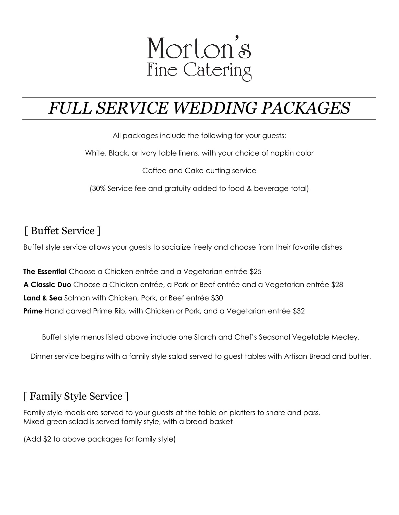

# *FULL SERVICE WEDDING PACKAGES*

All packages include the following for your guests:

White, Black, or Ivory table linens, with your choice of napkin color

Coffee and Cake cutting service

(30% Service fee and gratuity added to food & beverage total)

#### [ Buffet Service ]

Buffet style service allows your guests to socialize freely and choose from their favorite dishes

**The Essential** Choose a Chicken entrée and a Vegetarian entrée \$25 **A Classic Duo** Choose a Chicken entrée, a Pork or Beef entrée and a Vegetarian entrée \$28 **Land & Sea** Salmon with Chicken, Pork, or Beef entrée \$30 **Prime** Hand carved Prime Rib, with Chicken or Pork, and a Vegetarian entrée \$32

Buffet style menus listed above include one Starch and Chef's Seasonal Vegetable Medley.

Dinner service begins with a family style salad served to guest tables with Artisan Bread and butter.

#### [ Family Style Service ]

Family style meals are served to your guests at the table on platters to share and pass. Mixed green salad is served family style, with a bread basket

(Add \$2 to above packages for family style)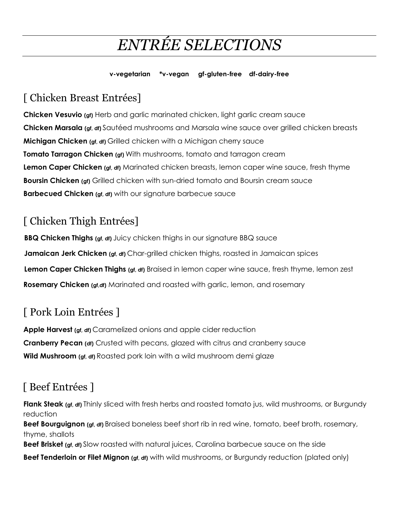# *ENTRÉE SELECTIONS*

#### **v-vegetarian \*v-vegan gf-gluten-free df-dairy-free**

### [ Chicken Breast Entrées]

**Chicken Vesuvio (gf)** Herb and garlic marinated chicken, light garlic cream sauce **Chicken Marsala (gf, df)** Sautéed mushrooms and Marsala wine sauce over grilled chicken breasts **Michigan Chicken (gf, df)** Grilled chicken with a Michigan cherry sauce **Tomato Tarragon Chicken (gf)** With mushrooms, tomato and tarragon cream **Lemon Caper Chicken (gf, df)** Marinated chicken breasts, lemon caper wine sauce, fresh thyme **Boursin Chicken (gf)** Grilled chicken with sun-dried tomato and Boursin cream sauce **Barbecued Chicken (gf, df)** with our signature barbecue sauce

### [ Chicken Thigh Entrées]

**BBQ Chicken Thighs (gf, df)** Juicy chicken thighs in our signature BBQ sauce **Jamaican Jerk Chicken (gf, df)** Char-grilled chicken thighs, roasted in Jamaican spices **Lemon Caper Chicken Thighs (gf, df)** Braised in lemon caper wine sauce, fresh thyme, lemon zest **Rosemary Chicken (gf,df)** Marinated and roasted with garlic, lemon, and rosemary

## [ Pork Loin Entrées ]

**Apple Harvest (gf, df)** Caramelized onions and apple cider reduction **Cranberry Pecan (df)** Crusted with pecans, glazed with citrus and cranberry sauce **Wild Mushroom (gf, df)** Roasted pork loin with a wild mushroom demi glaze

## [ Beef Entrées ]

**Flank Steak (gf, df)** Thinly sliced with fresh herbs and roasted tomato jus, wild mushrooms, or Burgundy reduction **Beef Bourguignon (gf, df)** Braised boneless beef short rib in red wine, tomato, beef broth, rosemary, thyme, shallots

**Beef Brisket (gf, df)** Slow roasted with natural juices, Carolina barbecue sauce on the side

**Beef Tenderloin or Filet Mignon (gf, df)** with wild mushrooms, or Burgundy reduction (plated only)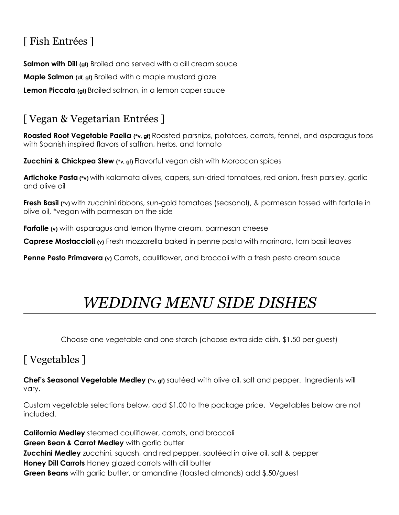## [ Fish Entrées ]

**Salmon with Dill (gf)** Broiled and served with a dill cream sauce **Maple Salmon (df, gf)** Broiled with a maple mustard glaze **Lemon Piccata (gf)** Broiled salmon, in a lemon caper sauce

### [ Vegan & Vegetarian Entrées ]

**Roasted Root Vegetable Paella (\*v, gf)** Roasted parsnips, potatoes, carrots, fennel, and asparagus tops with Spanish inspired flavors of saffron, herbs, and tomato

**Zucchini & Chickpea Stew (\*v, gf)** Flavorful vegan dish with Moroccan spices

**Artichoke Pasta (\*v)** with kalamata olives, capers, sun-dried tomatoes, red onion, fresh parsley, garlic and olive oil

**Fresh Basil (\*v)** with zucchini ribbons, sun-gold tomatoes (seasonal), & parmesan tossed with farfalle in olive oil, \*vegan with parmesan on the side

**Farfalle** (v) with asparagus and lemon thyme cream, parmesan cheese

**Caprese Mostaccioli (v)** Fresh mozzarella baked in penne pasta with marinara, torn basil leaves

**Penne Pesto Primavera (v)** Carrots, cauliflower, and broccoli with a fresh pesto cream sauce

# *WEDDING MENU SIDE DISHES*

Choose one vegetable and one starch (choose extra side dish, \$1.50 per guest)

### [ Vegetables ]

**Chef's Seasonal Vegetable Medley (\*v, gf)** sautéed with olive oil, salt and pepper. Ingredients will vary.

Custom vegetable selections below, add \$1.00 to the package price. Vegetables below are not included.

**California Medley** steamed cauliflower, carrots, and broccoli **Green Bean & Carrot Medley** with garlic butter **Zucchini Medley** zucchini, squash, and red pepper, sautéed in olive oil, salt & pepper **Honey Dill Carrots** Honey glazed carrots with dill butter **Green Beans** with garlic butter, or amandine (toasted almonds) add \$.50/guest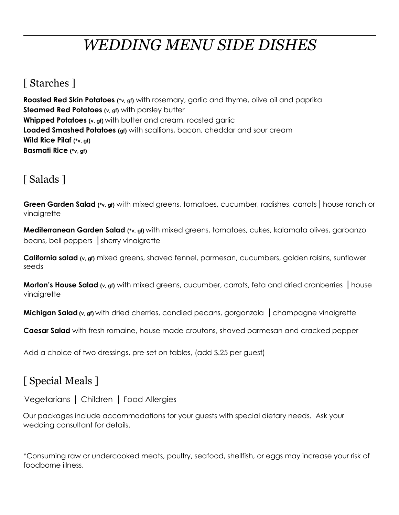# *WEDDING MENU SIDE DISHES*

#### [ Starches ]

**Roasted Red Skin Potatoes (\*v, gf)** with rosemary, garlic and thyme, olive oil and paprika **Steamed Red Potatoes (v, gf)** with parsley butter **Whipped Potatoes (v, gf)** with butter and cream, roasted garlic **Loaded Smashed Potatoes (gf)** with scallions, bacon, cheddar and sour cream **Wild Rice Pilaf (\*v, gf) Basmati Rice (\*v, gf)**

## [ Salads ]

**Green Garden Salad (\*v, gf)** with mixed greens, tomatoes, cucumber, radishes, carrots | house ranch or vinaigrette

**Mediterranean Garden Salad (\*v, gf)** with mixed greens, tomatoes, cukes, kalamata olives, garbanzo beans, bell peppers |sherry vinaigrette

**California salad (v, gf)** mixed greens, shaved fennel, parmesan, cucumbers, golden raisins, sunflower seeds

**Morton's House Salad** (v, gf) with mixed greens, cucumber, carrots, feta and dried cranberries | house vinaigrette

**Michigan Salad** (v, gf) with dried cherries, candied pecans, gorgonzola | champagne vinaigrette

**Caesar Salad** with fresh romaine, house made croutons, shaved parmesan and cracked pepper

Add a choice of two dressings, pre-set on tables, (add \$.25 per guest)

### [ Special Meals ]

Vegetarians | Children | Food Allergies

Our packages include accommodations for your guests with special dietary needs. Ask your wedding consultant for details.

\*Consuming raw or undercooked meats, poultry, seafood, shellfish, or eggs may increase your risk of foodborne illness.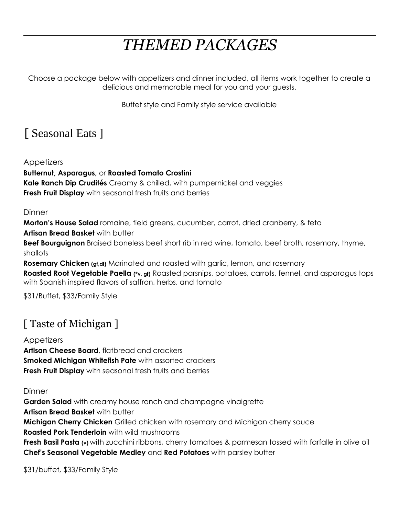# *THEMED PACKAGES*

Choose a package below with appetizers and dinner included, all items work together to create a delicious and memorable meal for you and your guests.

Buffet style and Family style service available

## [ Seasonal Eats ]

Appetizers

**Butternut, Asparagus,** or **Roasted Tomato Crostini**

**Kale Ranch Dip Crudités** Creamy & chilled, with pumpernickel and veggies **Fresh Fruit Display** with seasonal fresh fruits and berries

#### **Dinner**

**Morton's House Salad** romaine, field greens, cucumber, carrot, dried cranberry, & feta

**Artisan Bread Basket** with butter

**Beef Bourguignon** Braised boneless beef short rib in red wine, tomato, beef broth, rosemary, thyme, shallots

**Rosemary Chicken (gf,df)** Marinated and roasted with garlic, lemon, and rosemary

**Roasted Root Vegetable Paella (\*v, gf)** Roasted parsnips, potatoes, carrots, fennel, and asparagus tops with Spanish inspired flavors of saffron, herbs, and tomato

\$31/Buffet, \$33/Family Style

## [ Taste of Michigan ]

#### **Appetizers**

**Artisan Cheese Board**, flatbread and crackers **Smoked Michigan Whitefish Pate** with assorted crackers **Fresh Fruit Display** with seasonal fresh fruits and berries

#### **Dinner**

**Garden Salad** with creamy house ranch and champagne vinaigrette **Artisan Bread Basket** with butter **Michigan Cherry Chicken** Grilled chicken with rosemary and Michigan cherry sauce **Roasted Pork Tenderloin** with wild mushrooms **Fresh Basil Pasta (v)** with zucchini ribbons, cherry tomatoes & parmesan tossed with farfalle in olive oil **Chef's Seasonal Vegetable Medley** and **Red Potatoes** with parsley butter

\$31/buffet, \$33/Family Style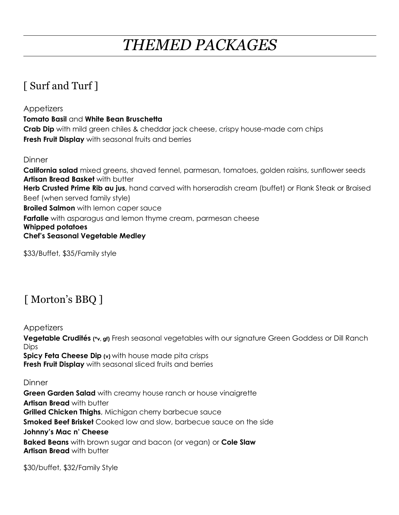# *THEMED PACKAGES*

### [ Surf and Turf ]

**Appetizers Tomato Basil** and **White Bean Bruschetta Crab Dip** with mild green chiles & cheddar jack cheese, crispy house-made corn chips **Fresh Fruit Display** with seasonal fruits and berries

**Dinner** 

**California salad** mixed greens, shaved fennel, parmesan, tomatoes, golden raisins, sunflower seeds **Artisan Bread Basket** with butter **Herb Crusted Prime Rib au jus**, hand carved with horseradish cream (buffet) or Flank Steak or Braised Beef (when served family style) **Broiled Salmon** with lemon caper sauce **Farfalle** with asparagus and lemon thyme cream, parmesan cheese **Whipped potatoes Chef's Seasonal Vegetable Medley** 

\$33/Buffet, \$35/Family style

### [ Morton's BBQ ]

Appetizers **Vegetable Crudités (\*v, gf)** Fresh seasonal vegetables with our signature Green Goddess or Dill Ranch Dips **Spicy Feta Cheese Dip (v)** with house made pita crisps **Fresh Fruit Display** with seasonal sliced fruits and berries

**Dinner** 

**Green Garden Salad** with creamy house ranch or house vinaigrette **Artisan Bread** with butter **Grilled Chicken Thighs**, Michigan cherry barbecue sauce **Smoked Beef Brisket** Cooked low and slow, barbecue sauce on the side **Johnny's Mac n' Cheese Baked Beans** with brown sugar and bacon (or vegan) or **Cole Slaw Artisan Bread** with butter

\$30/buffet, \$32/Family Style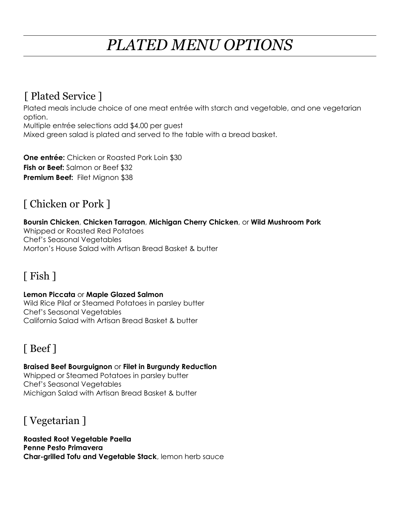# *PLATED MENU OPTIONS*

#### [ Plated Service ]

Plated meals include choice of one meat entrée with starch and vegetable, and one vegetarian option.

Multiple entrée selections add \$4.00 per guest Mixed green salad is plated and served to the table with a bread basket.

**One entrée:** Chicken or Roasted Pork Loin \$30 **Fish or Beef:** Salmon or Beef \$32 **Premium Beef:** Filet Mignon \$38

### [ Chicken or Pork ]

#### **Boursin Chicken**, **Chicken Tarragon**, **Michigan Cherry Chicken**, or **Wild Mushroom Pork**

Whipped or Roasted Red Potatoes Chef's Seasonal Vegetables Morton's House Salad with Artisan Bread Basket & butter

### [ Fish ]

#### **Lemon Piccata** or **Maple Glazed Salmon**

Wild Rice Pilaf or Steamed Potatoes in parsley butter Chef's Seasonal Vegetables California Salad with Artisan Bread Basket & butter

## [ Beef ]

**Braised Beef Bourguignon** or **Filet in Burgundy Reduction** Whipped or Steamed Potatoes in parsley butter Chef's Seasonal Vegetables Michigan Salad with Artisan Bread Basket & butter

### [ Vegetarian ]

**Roasted Root Vegetable Paella Penne Pesto Primavera Char-grilled Tofu and Vegetable Stack**, lemon herb sauce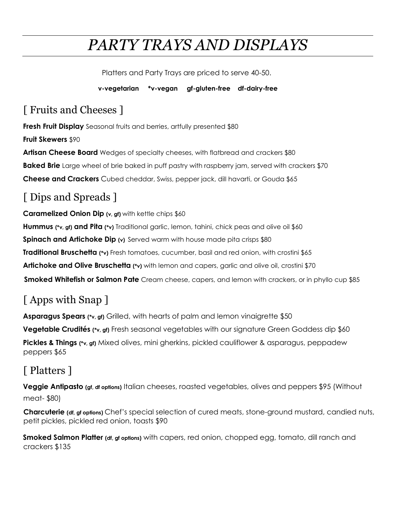# *PARTY TRAYS AND DISPLAYS*

Platters and Party Trays are priced to serve 40-50.

 **v-vegetarian \*v-vegan gf-gluten-free df-dairy-free**

## [ Fruits and Cheeses ]

**Fresh Fruit Display** Seasonal fruits and berries, artfully presented \$80 **Fruit Skewers** \$90 **Artisan Cheese Board** Wedges of specialty cheeses, with flatbread and crackers \$80 **Baked Brie** Large wheel of brie baked in puff pastry with raspberry jam, served with crackers \$70 **Cheese and Crackers** Cubed cheddar, Swiss, pepper jack, dill havarti, or Gouda \$65

## [ Dips and Spreads ]

**Caramelized Onion Dip (v, gf)** with kettle chips \$60 **Hummus (\*v, gf) and Pita (\*v)** Traditional garlic, lemon, tahini, chick peas and olive oil \$60 **Spinach and Artichoke Dip** (v) Served warm with house made pita crisps \$80 **Traditional Bruschetta (\*v)** Fresh tomatoes, cucumber, basil and red onion, with crostini \$65 **Artichoke and Olive Bruschetta (\*v)** with lemon and capers, garlic and olive oil, crostini \$70 **Smoked Whitefish or Salmon Pate** Cream cheese, capers, and lemon with crackers, or in phyllo cup \$85

# [ Apps with Snap ]

**Asparagus Spears (\*v, gf)** Grilled, with hearts of palm and lemon vinaigrette \$50 **Vegetable Crudités (\*v, gf)** Fresh seasonal vegetables with our signature Green Goddess dip \$60 **Pickles & Things (\*v, gf)** Mixed olives, mini gherkins, pickled cauliflower & asparagus, peppadew peppers \$65

## [ Platters ]

**Veggie Antipasto (gf, df options)** Italian cheeses, roasted vegetables, olives and peppers \$95 (Without meat- \$80)

**Charcuterie (df, gf options)** Chef's special selection of cured meats, stone-ground mustard, candied nuts, petit pickles, pickled red onion, toasts \$90

**Smoked Salmon Platter (df, gf options)** with capers, red onion, chopped egg, tomato, dill ranch and crackers \$135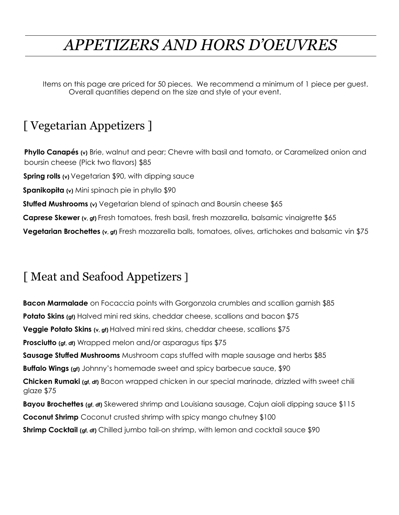# *APPETIZERS AND HORS D'OEUVRES*

Items on this page are priced for 50 pieces. We recommend a minimum of 1 piece per guest. Overall quantities depend on the size and style of your event.

# [ Vegetarian Appetizers ]

Phyllo Canapés (v) Brie, walnut and pear; Chevre with basil and tomato, or Caramelized onion and boursin cheese (Pick two flavors) \$85 **Spring rolls (v)** Vegetarian \$90, with dipping sauce **Spanikopita (v)** Mini spinach pie in phyllo \$90 **Stuffed Mushrooms** (v) Vegetarian blend of spinach and Boursin cheese \$65 **Caprese Skewer (v, gf)** Fresh tomatoes, fresh basil, fresh mozzarella, balsamic vinaigrette \$65 **Vegetarian Brochettes (v, gf)** Fresh mozzarella balls, tomatoes, olives, artichokes and balsamic vin \$75

# [ Meat and Seafood Appetizers ]

**Bacon Marmalade** on Focaccia points with Gorgonzola crumbles and scallion garnish \$85 **Potato Skins** (gf) Halved mini red skins, cheddar cheese, scallions and bacon \$75 **Veggie Potato Skins (v, gf)** Halved mini red skins, cheddar cheese, scallions \$75 **Prosciutto** (gf, df) Wrapped melon and/or asparagus tips \$75 **Sausage Stuffed Mushrooms** Mushroom caps stuffed with maple sausage and herbs \$85 **Buffalo Wings (gf)** Johnny's homemade sweet and spicy barbecue sauce, \$90 **Chicken Rumaki (gf, df)** Bacon wrapped chicken in our special marinade, drizzled with sweet chili glaze \$75 **Bayou Brochettes (gf, df)** Skewered shrimp and Louisiana sausage, Cajun aioli dipping sauce \$115 **Coconut Shrimp** Coconut crusted shrimp with spicy mango chutney \$100 **Shrimp Cocktail (gf, df)** Chilled jumbo tail-on shrimp, with lemon and cocktail sauce \$90